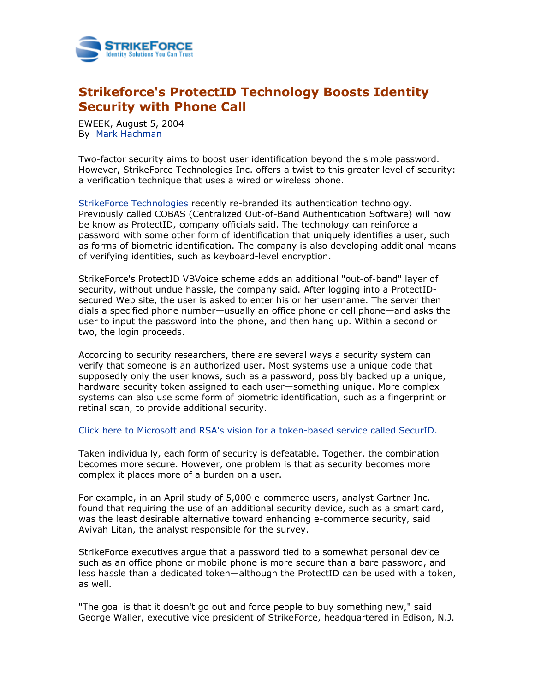

## **Strikeforce's ProtectID Technology Boosts Identity Security with Phone Call**

EWEEK, August 5, 2004 By [Mark Hachman](mailto:mark_hachman@ziffdavis.com)

Two-factor security aims to boost user identification beyond the simple password. However, StrikeForce Technologies Inc. offers a twist to this greater level of security: a verification technique that uses a wired or wireless phone.

[StrikeForce Technologies](http://www.sftnj.com/) recently re-branded its authentication technology. Previously called COBAS (Centralized Out-of-Band Authentication Software) will now be know as ProtectID, company officials said. The technology can reinforce a password with some other form of identification that uniquely identifies a user, such as forms of biometric identification. The company is also developing additional means of verifying identities, such as keyboard-level encryption.

StrikeForce's ProtectID VBVoice scheme adds an additional "out-of-band" layer of security, without undue hassle, the company said. After logging into a ProtectIDsecured Web site, the user is asked to enter his or her username. The server then dials a specified phone number—usually an office phone or cell phone—and asks the user to input the password into the phone, and then hang up. Within a second or two, the login proceeds.

According to security researchers, there are several ways a security system can verify that someone is an authorized user. Most systems use a unique code that supposedly only the user knows, such as a password, possibly backed up a unique, hardware security token assigned to each user—something unique. More complex systems can also use some form of biometric identification, such as a fingerprint or retinal scan, to provide additional security.

## [Click here to Microsoft and RSA's vision for a token-based service called SecurID.](http://www.eweek.com/article2/0,1759,1538008,00.asp)

Taken individually, each form of security is defeatable. Together, the combination becomes more secure. However, one problem is that as security becomes more complex it places more of a burden on a user.

For example, in an April study of 5,000 e-commerce users, analyst Gartner Inc. found that requiring the use of an additional security device, such as a smart card, was the least desirable alternative toward enhancing e-commerce security, said Avivah Litan, the analyst responsible for the survey.

StrikeForce executives argue that a password tied to a somewhat personal device such as an office phone or mobile phone is more secure than a bare password, and less hassle than a dedicated token—although the ProtectID can be used with a token, as well.

"The goal is that it doesn't go out and force people to buy something new," said George Waller, executive vice president of StrikeForce, headquartered in Edison, N.J.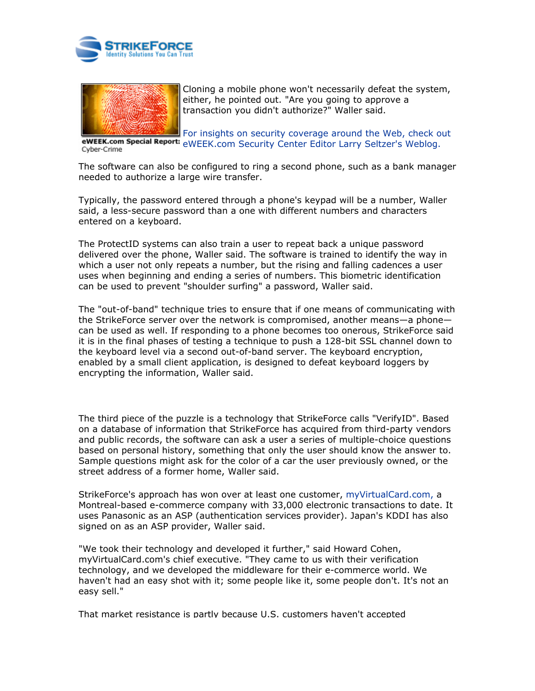



Cloning a mobile phone won't necessarily defeat the system, either, he pointed out. "Are you going to approve a transaction you didn't authorize?" Waller said.

For insights on security coverage around the Web, check out eWEEK.com Special Report: eWEEK.com Security Center Editor Larry Seltzer's Weblog. Cyber-Crime

The software can also be configured to ring a second phone, such as a bank manager needed to authorize a large wire transfer.

Typically, the password entered through a phone's keypad will be a number, Waller said, a less-secure password than a one with different numbers and characters entered on a keyboard.

The ProtectID systems can also train a user to repeat back a unique password delivered over the phone, Waller said. The software is trained to identify the way in which a user not only repeats a number, but the rising and falling cadences a user uses when beginning and ending a series of numbers. This biometric identification can be used to prevent "shoulder surfing" a password, Waller said.

The "out-of-band" technique tries to ensure that if one means of communicating with the StrikeForce server over the network is compromised, another means—a phone can be used as well. If responding to a phone becomes too onerous, StrikeForce said it is in the final phases of testing a technique to push a 128-bit SSL channel down to the keyboard level via a second out-of-band server. The keyboard encryption, enabled by a small client application, is designed to defeat keyboard loggers by encrypting the information, Waller said.

The third piece of the puzzle is a technology that StrikeForce calls "VerifyID". Based on a database of information that StrikeForce has acquired from third-party vendors and public records, the software can ask a user a series of multiple-choice questions based on personal history, something that only the user should know the answer to. Sample questions might ask for the color of a car the user previously owned, or the street address of a former home, Waller said.

StrikeForce's approach has won over at least one customer, [myVirtualCard.com,](http://myvirtualcard.com/) a Montreal-based e-commerce company with 33,000 electronic transactions to date. It uses Panasonic as an ASP (authentication services provider). Japan's KDDI has also signed on as an ASP provider, Waller said.

"We took their technology and developed it further," said Howard Cohen, myVirtualCard.com's chief executive. "They came to us with their verification technology, and we developed the middleware for their e-commerce world. We haven't had an easy shot with it; some people like it, some people don't. It's not an easy sell."

That market resistance is partly because U.S. customers haven't accepted